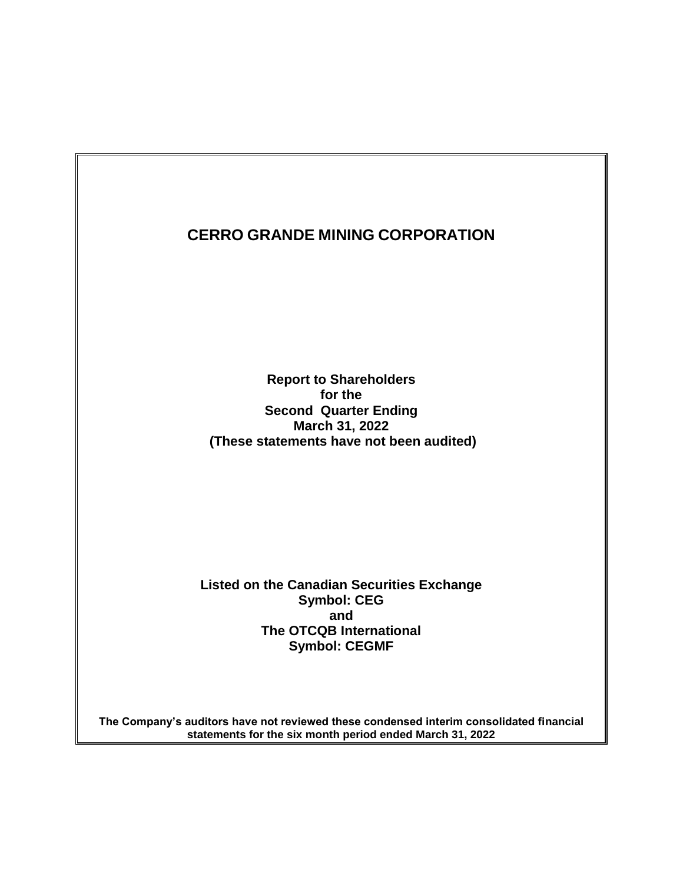**Report to Shareholders for the Second Quarter Ending March 31, 2022 (These statements have not been audited)**

**Listed on the Canadian Securities Exchange Symbol: CEG and The OTCQB International Symbol: CEGMF**

**The Company's auditors have not reviewed these condensed interim consolidated financial statements for the six month period ended March 31, 2022**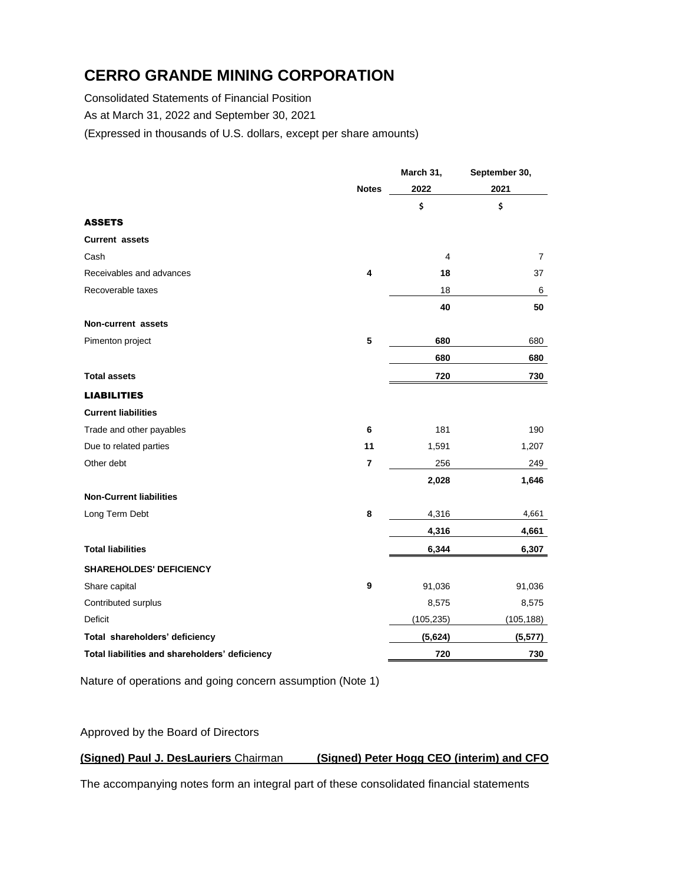Consolidated Statements of Financial Position

As at March 31, 2022 and September 30, 2021

(Expressed in thousands of U.S. dollars, except per share amounts)

|                                                |                | March 31,  | September 30,  |  |
|------------------------------------------------|----------------|------------|----------------|--|
|                                                | <b>Notes</b>   | 2022       | 2021           |  |
|                                                |                | \$         | \$             |  |
| <b>ASSETS</b>                                  |                |            |                |  |
| <b>Current assets</b>                          |                |            |                |  |
| Cash                                           |                | 4          | $\overline{7}$ |  |
| Receivables and advances                       | 4              | 18         | 37             |  |
| Recoverable taxes                              |                | 18         | 6              |  |
|                                                |                | 40         | 50             |  |
| Non-current assets                             |                |            |                |  |
| Pimenton project                               | 5              | 680        | 680            |  |
|                                                |                | 680        | 680            |  |
| <b>Total assets</b>                            |                | 720        | 730            |  |
| <b>LIABILITIES</b>                             |                |            |                |  |
| <b>Current liabilities</b>                     |                |            |                |  |
| Trade and other payables                       | 6              | 181        | 190            |  |
| Due to related parties                         | 11             | 1,591      | 1,207          |  |
| Other debt                                     | $\overline{7}$ | 256        | 249            |  |
|                                                |                | 2,028      | 1,646          |  |
| <b>Non-Current liabilities</b>                 |                |            |                |  |
| Long Term Debt                                 | 8              | 4,316      | 4,661          |  |
|                                                |                | 4,316      | 4,661          |  |
| <b>Total liabilities</b>                       |                | 6,344      | 6,307          |  |
| <b>SHAREHOLDES' DEFICIENCY</b>                 |                |            |                |  |
| Share capital                                  | 9              | 91,036     | 91,036         |  |
| Contributed surplus                            |                | 8,575      | 8,575          |  |
| <b>Deficit</b>                                 |                | (105, 235) | (105, 188)     |  |
| Total shareholders' deficiency                 |                | (5,624)    | (5, 577)       |  |
| Total liabilities and shareholders' deficiency |                | 720        | 730            |  |

Nature of operations and going concern assumption (Note 1)

Approved by the Board of Directors

### **(Signed) Paul J. DesLauriers** Chairman **(Signed) Peter Hogg CEO (interim) and CFO**

The accompanying notes form an integral part of these consolidated financial statements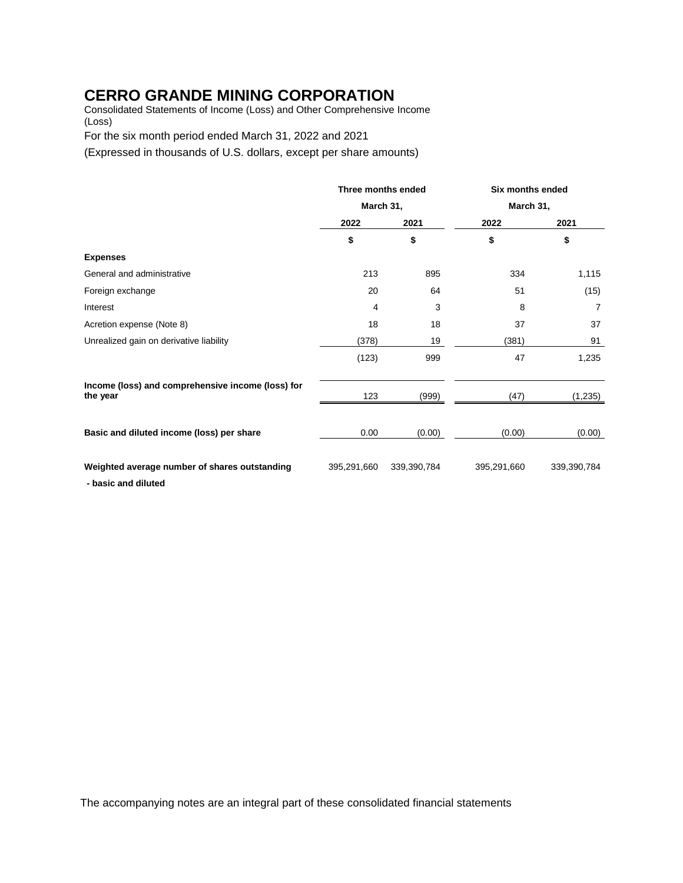Consolidated Statements of Income (Loss) and Other Comprehensive Income (Loss)

For the six month period ended March 31, 2022 and 2021

(Expressed in thousands of U.S. dollars, except per share amounts)

|                                                                      | Three months ended |             | Six months ended |             |
|----------------------------------------------------------------------|--------------------|-------------|------------------|-------------|
|                                                                      |                    | March 31,   |                  | March 31,   |
|                                                                      | 2022               | 2021        | 2022             | 2021        |
|                                                                      | \$                 | \$          | \$               | \$          |
| <b>Expenses</b>                                                      |                    |             |                  |             |
| General and administrative                                           | 213                | 895         | 334              | 1,115       |
| Foreign exchange                                                     | 20                 | 64          | 51               | (15)        |
| Interest                                                             | 4                  | 3           | 8                | 7           |
| Acretion expense (Note 8)                                            | 18                 | 18          | 37               | 37          |
| Unrealized gain on derivative liability                              | (378)              | 19          | (381)            | 91          |
|                                                                      | (123)              | 999         | 47               | 1,235       |
| Income (loss) and comprehensive income (loss) for<br>the year        | 123                | (999)       | (47)             | (1,235)     |
| Basic and diluted income (loss) per share                            | 0.00               | (0.00)      | (0.00)           | (0.00)      |
| Weighted average number of shares outstanding<br>- basic and diluted | 395,291,660        | 339,390,784 | 395,291,660      | 339,390,784 |

The accompanying notes are an integral part of these consolidated financial statements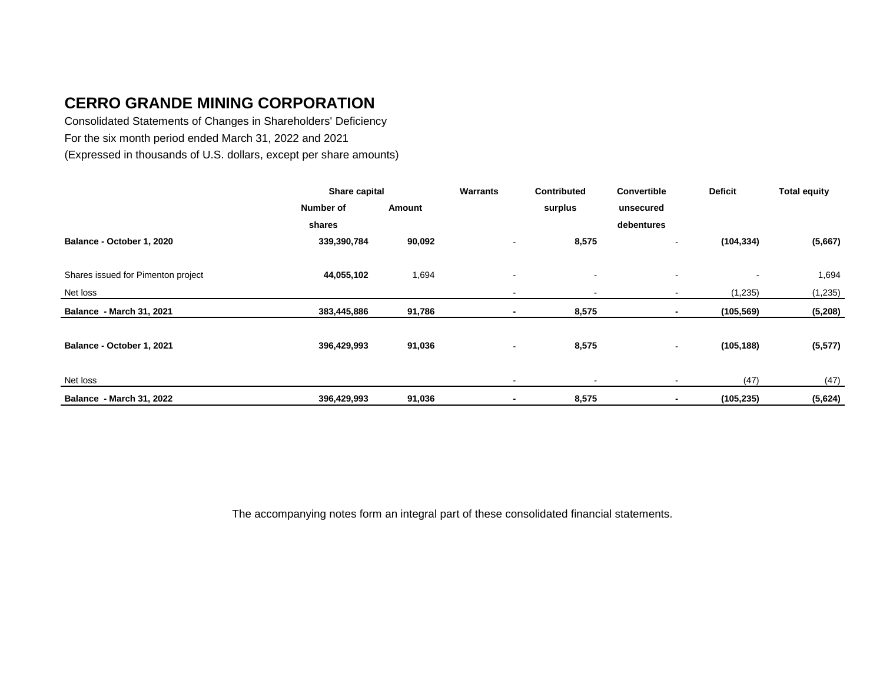Consolidated Statements of Changes in Shareholders' Deficiency For the six month period ended March 31, 2022 and 2021 (Expressed in thousands of U.S. dollars, except per share amounts)

|                                    | Share capital |        | Warrants       | <b>Contributed</b>       | <b>Convertible</b>       | <b>Deficit</b>           | <b>Total equity</b> |
|------------------------------------|---------------|--------|----------------|--------------------------|--------------------------|--------------------------|---------------------|
|                                    | Number of     | Amount |                | surplus                  | unsecured                |                          |                     |
|                                    | shares        |        |                |                          | debentures               |                          |                     |
| Balance - October 1, 2020          | 339,390,784   | 90,092 |                | 8,575                    | $\overline{\phantom{0}}$ | (104, 334)               | (5,667)             |
|                                    |               |        |                |                          |                          |                          |                     |
| Shares issued for Pimenton project | 44,055,102    | 1,694  | $\sim$         | $\overline{\phantom{a}}$ | $\blacksquare$           | $\overline{\phantom{a}}$ | 1,694               |
| Net loss                           |               |        | $\blacksquare$ | $\overline{\phantom{a}}$ | $\blacksquare$           | (1, 235)                 | (1, 235)            |
| <b>Balance - March 31, 2021</b>    | 383,445,886   | 91,786 | ٠              | 8,575                    |                          | (105, 569)               | (5,208)             |
| Balance - October 1, 2021          | 396,429,993   | 91,036 | $\blacksquare$ | 8,575                    | $\sim$                   | (105, 188)               | (5, 577)            |
| Net loss                           |               |        |                |                          | $\blacksquare$           | (47)                     | (47)                |
| <b>Balance - March 31, 2022</b>    | 396,429,993   | 91,036 | $\blacksquare$ | 8,575                    | ٠                        | (105, 235)               | (5,624)             |

The accompanying notes form an integral part of these consolidated financial statements.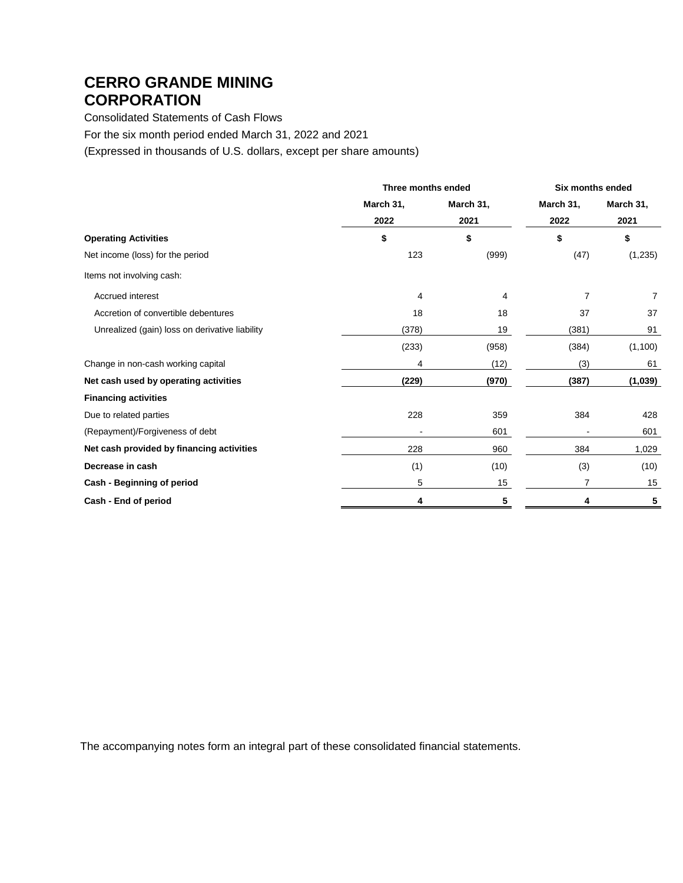Consolidated Statements of Cash Flows

For the six month period ended March 31, 2022 and 2021

(Expressed in thousands of U.S. dollars, except per share amounts)

|                                                | Three months ended |           | <b>Six months ended</b> |           |
|------------------------------------------------|--------------------|-----------|-------------------------|-----------|
|                                                | March 31,          | March 31, | March 31,               | March 31, |
|                                                | 2022               | 2021      | 2022                    | 2021      |
| <b>Operating Activities</b>                    | \$                 | \$        | \$                      | \$        |
| Net income (loss) for the period               | 123                | (999)     | (47)                    | (1, 235)  |
| Items not involving cash:                      |                    |           |                         |           |
| Accrued interest                               | 4                  | 4         | 7                       | 7         |
| Accretion of convertible debentures            | 18                 | 18        | 37                      | 37        |
| Unrealized (gain) loss on derivative liability | (378)              | 19        | (381)                   | 91        |
|                                                | (233)              | (958)     | (384)                   | (1, 100)  |
| Change in non-cash working capital             | 4                  | (12)      | (3)                     | 61        |
| Net cash used by operating activities          | (229)              | (970)     | (387)                   | (1,039)   |
| <b>Financing activities</b>                    |                    |           |                         |           |
| Due to related parties                         | 228                | 359       | 384                     | 428       |
| (Repayment)/Forgiveness of debt                |                    | 601       |                         | 601       |
| Net cash provided by financing activities      | 228                | 960       | 384                     | 1,029     |
| Decrease in cash                               | (1)                | (10)      | (3)                     | (10)      |
| Cash - Beginning of period                     | 5                  | 15        | 7                       | 15        |
| Cash - End of period                           |                    | 5         |                         | 5         |

The accompanying notes form an integral part of these consolidated financial statements.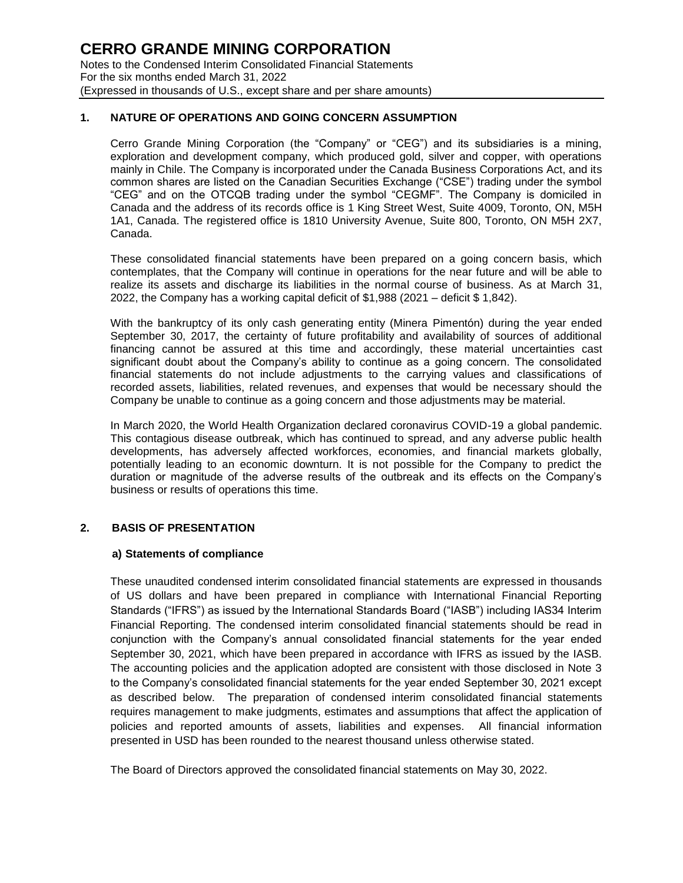#### **1. NATURE OF OPERATIONS AND GOING CONCERN ASSUMPTION**

Cerro Grande Mining Corporation (the "Company" or "CEG") and its subsidiaries is a mining, exploration and development company, which produced gold, silver and copper, with operations mainly in Chile. The Company is incorporated under the Canada Business Corporations Act, and its common shares are listed on the Canadian Securities Exchange ("CSE") trading under the symbol "CEG" and on the OTCQB trading under the symbol "CEGMF". The Company is domiciled in Canada and the address of its records office is 1 King Street West, Suite 4009, Toronto, ON, M5H 1A1, Canada. The registered office is 1810 University Avenue, Suite 800, Toronto, ON M5H 2X7, Canada.

These consolidated financial statements have been prepared on a going concern basis, which contemplates, that the Company will continue in operations for the near future and will be able to realize its assets and discharge its liabilities in the normal course of business. As at March 31, 2022, the Company has a working capital deficit of \$1,988 (2021 – deficit \$ 1,842).

With the bankruptcy of its only cash generating entity (Minera Pimentón) during the year ended September 30, 2017, the certainty of future profitability and availability of sources of additional financing cannot be assured at this time and accordingly, these material uncertainties cast significant doubt about the Company's ability to continue as a going concern. The consolidated financial statements do not include adjustments to the carrying values and classifications of recorded assets, liabilities, related revenues, and expenses that would be necessary should the Company be unable to continue as a going concern and those adjustments may be material.

In March 2020, the World Health Organization declared coronavirus COVID-19 a global pandemic. This contagious disease outbreak, which has continued to spread, and any adverse public health developments, has adversely affected workforces, economies, and financial markets globally, potentially leading to an economic downturn. It is not possible for the Company to predict the duration or magnitude of the adverse results of the outbreak and its effects on the Company's business or results of operations this time.

#### **2. BASIS OF PRESENTATION**

#### **a) Statements of compliance**

These unaudited condensed interim consolidated financial statements are expressed in thousands of US dollars and have been prepared in compliance with International Financial Reporting Standards ("IFRS") as issued by the International Standards Board ("IASB") including IAS34 Interim Financial Reporting. The condensed interim consolidated financial statements should be read in conjunction with the Company's annual consolidated financial statements for the year ended September 30, 2021, which have been prepared in accordance with IFRS as issued by the IASB. The accounting policies and the application adopted are consistent with those disclosed in Note 3 to the Company's consolidated financial statements for the year ended September 30, 2021 except as described below. The preparation of condensed interim consolidated financial statements requires management to make judgments, estimates and assumptions that affect the application of policies and reported amounts of assets, liabilities and expenses. All financial information presented in USD has been rounded to the nearest thousand unless otherwise stated.

The Board of Directors approved the consolidated financial statements on May 30, 2022.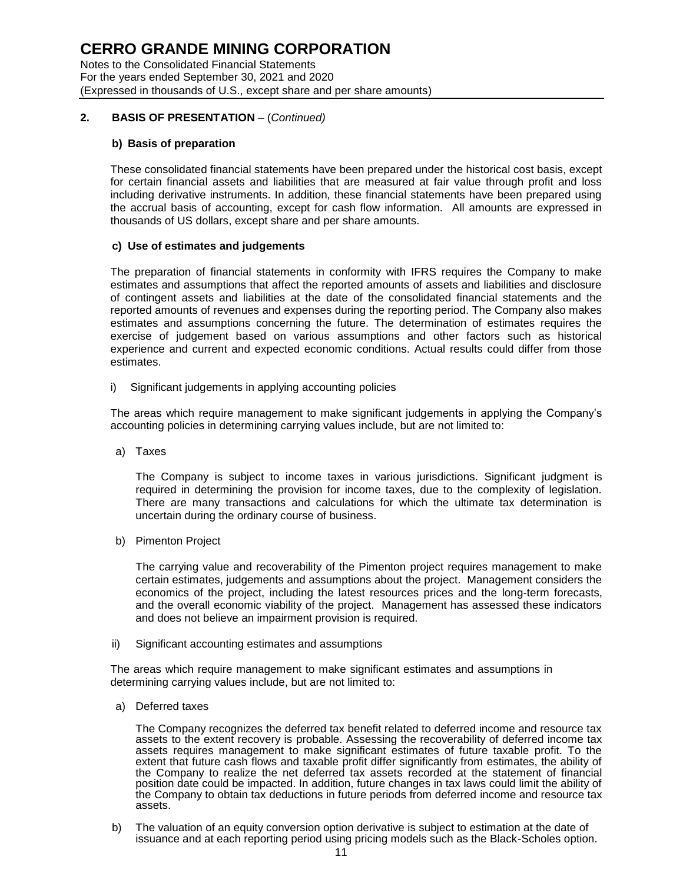Notes to the Consolidated Financial Statements For the years ended September 30, 2021 and 2020 (Expressed in thousands of U.S., except share and per share amounts)

### **2. BASIS OF PRESENTATION** – (*Continued)*

#### **b) Basis of preparation**

These consolidated financial statements have been prepared under the historical cost basis, except for certain financial assets and liabilities that are measured at fair value through profit and loss including derivative instruments. In addition, these financial statements have been prepared using the accrual basis of accounting, except for cash flow information. All amounts are expressed in thousands of US dollars, except share and per share amounts.

#### **c) Use of estimates and judgements**

The preparation of financial statements in conformity with IFRS requires the Company to make estimates and assumptions that affect the reported amounts of assets and liabilities and disclosure of contingent assets and liabilities at the date of the consolidated financial statements and the reported amounts of revenues and expenses during the reporting period. The Company also makes estimates and assumptions concerning the future. The determination of estimates requires the exercise of judgement based on various assumptions and other factors such as historical experience and current and expected economic conditions. Actual results could differ from those estimates.

i) Significant judgements in applying accounting policies

The areas which require management to make significant judgements in applying the Company's accounting policies in determining carrying values include, but are not limited to:

a) Taxes

The Company is subject to income taxes in various jurisdictions. Significant judgment is required in determining the provision for income taxes, due to the complexity of legislation. There are many transactions and calculations for which the ultimate tax determination is uncertain during the ordinary course of business.

b) Pimenton Project

The carrying value and recoverability of the Pimenton project requires management to make certain estimates, judgements and assumptions about the project. Management considers the economics of the project, including the latest resources prices and the long-term forecasts, and the overall economic viability of the project. Management has assessed these indicators and does not believe an impairment provision is required.

ii) Significant accounting estimates and assumptions

The areas which require management to make significant estimates and assumptions in determining carrying values include, but are not limited to:

a) Deferred taxes

The Company recognizes the deferred tax benefit related to deferred income and resource tax assets to the extent recovery is probable. Assessing the recoverability of deferred income tax assets requires management to make significant estimates of future taxable profit. To the extent that future cash flows and taxable profit differ significantly from estimates, the ability of the Company to realize the net deferred tax assets recorded at the statement of financial position date could be impacted. In addition, future changes in tax laws could limit the ability of the Company to obtain tax deductions in future periods from deferred income and resource tax assets.

b) The valuation of an equity conversion option derivative is subject to estimation at the date of issuance and at each reporting period using pricing models such as the Black-Scholes option.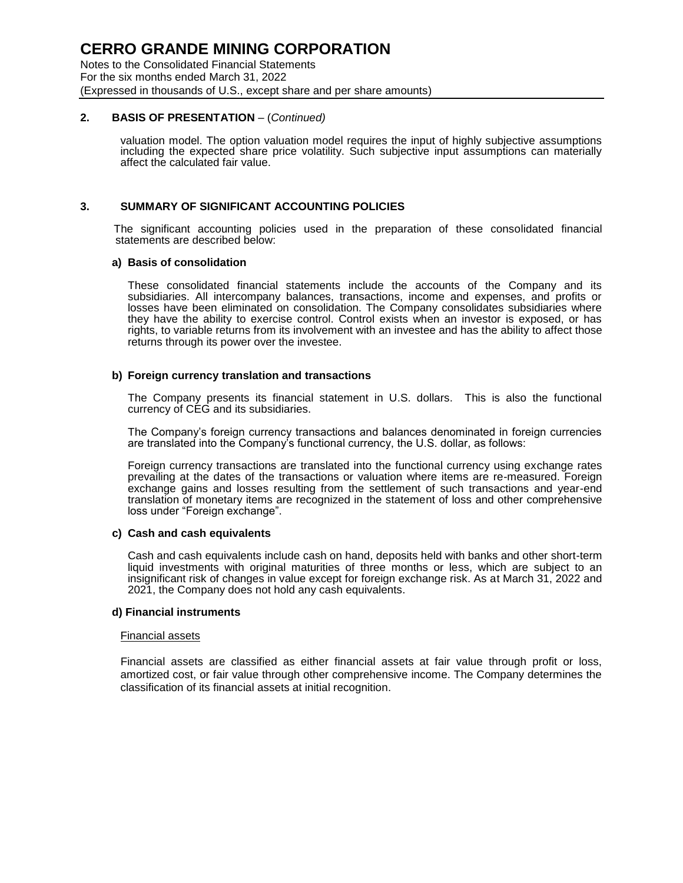#### **2. BASIS OF PRESENTATION** – (*Continued)*

valuation model. The option valuation model requires the input of highly subjective assumptions including the expected share price volatility. Such subjective input assumptions can materially affect the calculated fair value.

#### **3. SUMMARY OF SIGNIFICANT ACCOUNTING POLICIES**

The significant accounting policies used in the preparation of these consolidated financial statements are described below:

#### **a) Basis of consolidation**

These consolidated financial statements include the accounts of the Company and its subsidiaries. All intercompany balances, transactions, income and expenses, and profits or losses have been eliminated on consolidation. The Company consolidates subsidiaries where they have the ability to exercise control. Control exists when an investor is exposed, or has rights, to variable returns from its involvement with an investee and has the ability to affect those returns through its power over the investee.

#### **b) Foreign currency translation and transactions**

The Company presents its financial statement in U.S. dollars. This is also the functional currency of CEG and its subsidiaries.

The Company's foreign currency transactions and balances denominated in foreign currencies are translated into the Company's functional currency, the U.S. dollar, as follows:

Foreign currency transactions are translated into the functional currency using exchange rates prevailing at the dates of the transactions or valuation where items are re-measured. Foreign exchange gains and losses resulting from the settlement of such transactions and year-end translation of monetary items are recognized in the statement of loss and other comprehensive loss under "Foreign exchange".

#### **c) Cash and cash equivalents**

Cash and cash equivalents include cash on hand, deposits held with banks and other short-term liquid investments with original maturities of three months or less, which are subject to an insignificant risk of changes in value except for foreign exchange risk. As at March 31, 2022 and 2021, the Company does not hold any cash equivalents.

#### **d) Financial instruments**

#### Financial assets

Financial assets are classified as either financial assets at fair value through profit or loss, amortized cost, or fair value through other comprehensive income. The Company determines the classification of its financial assets at initial recognition.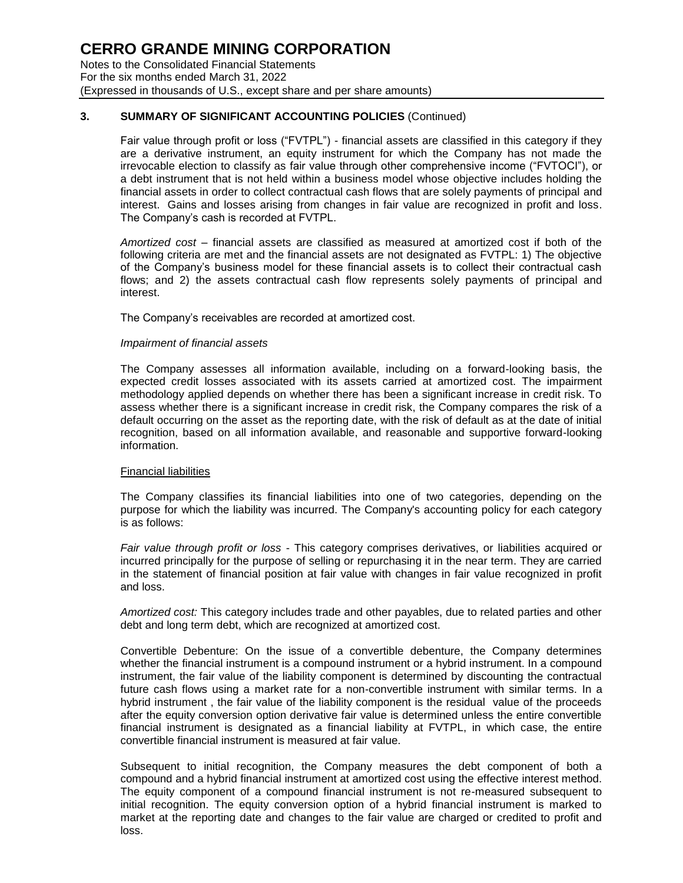### **3. SUMMARY OF SIGNIFICANT ACCOUNTING POLICIES** (Continued)

Fair value through profit or loss ("FVTPL") - financial assets are classified in this category if they are a derivative instrument, an equity instrument for which the Company has not made the irrevocable election to classify as fair value through other comprehensive income ("FVTOCI"), or a debt instrument that is not held within a business model whose objective includes holding the financial assets in order to collect contractual cash flows that are solely payments of principal and interest. Gains and losses arising from changes in fair value are recognized in profit and loss. The Company's cash is recorded at FVTPL.

*Amortized cost* – financial assets are classified as measured at amortized cost if both of the following criteria are met and the financial assets are not designated as FVTPL: 1) The objective of the Company's business model for these financial assets is to collect their contractual cash flows; and 2) the assets contractual cash flow represents solely payments of principal and interest.

The Company's receivables are recorded at amortized cost.

#### *Impairment of financial assets*

The Company assesses all information available, including on a forward-looking basis, the expected credit losses associated with its assets carried at amortized cost. The impairment methodology applied depends on whether there has been a significant increase in credit risk. To assess whether there is a significant increase in credit risk, the Company compares the risk of a default occurring on the asset as the reporting date, with the risk of default as at the date of initial recognition, based on all information available, and reasonable and supportive forward-looking information.

#### Financial liabilities

The Company classifies its financial liabilities into one of two categories, depending on the purpose for which the liability was incurred. The Company's accounting policy for each category is as follows:

*Fair value through profit or loss* - This category comprises derivatives, or liabilities acquired or incurred principally for the purpose of selling or repurchasing it in the near term. They are carried in the statement of financial position at fair value with changes in fair value recognized in profit and loss.

*Amortized cost:* This category includes trade and other payables, due to related parties and other debt and long term debt, which are recognized at amortized cost.

Convertible Debenture: On the issue of a convertible debenture, the Company determines whether the financial instrument is a compound instrument or a hybrid instrument. In a compound instrument, the fair value of the liability component is determined by discounting the contractual future cash flows using a market rate for a non-convertible instrument with similar terms. In a hybrid instrument , the fair value of the liability component is the residual value of the proceeds after the equity conversion option derivative fair value is determined unless the entire convertible financial instrument is designated as a financial liability at FVTPL, in which case, the entire convertible financial instrument is measured at fair value.

Subsequent to initial recognition, the Company measures the debt component of both a compound and a hybrid financial instrument at amortized cost using the effective interest method. The equity component of a compound financial instrument is not re-measured subsequent to initial recognition. The equity conversion option of a hybrid financial instrument is marked to market at the reporting date and changes to the fair value are charged or credited to profit and loss.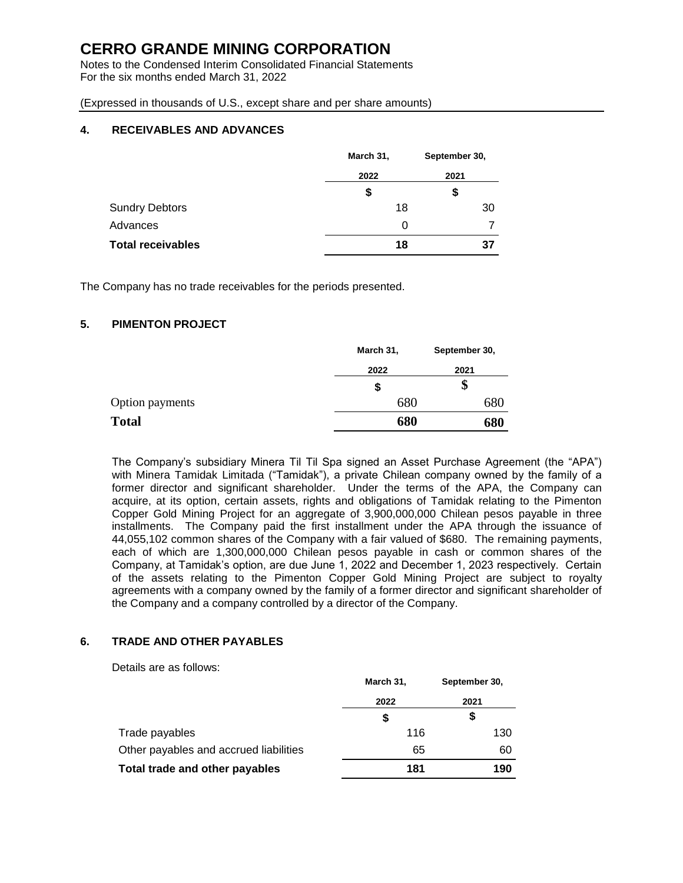Notes to the Condensed Interim Consolidated Financial Statements For the six months ended March 31, 2022

(Expressed in thousands of U.S., except share and per share amounts)

### **4. RECEIVABLES AND ADVANCES**

|                          | March 31, | September 30, |  |
|--------------------------|-----------|---------------|--|
|                          | 2022      | 2021          |  |
|                          | \$        | \$            |  |
| <b>Sundry Debtors</b>    | 18        | 30            |  |
| Advances                 | 0         |               |  |
| <b>Total receivables</b> | 18        | 37            |  |

The Company has no trade receivables for the periods presented.

#### **5. PIMENTON PROJECT**

| March 31, | September 30, |
|-----------|---------------|
| 2022      | 2021          |
| \$        | \$            |
| 680       | 680           |
| 680       | 680           |
|           |               |

The Company's subsidiary Minera Til Til Spa signed an Asset Purchase Agreement (the "APA") with Minera Tamidak Limitada ("Tamidak"), a private Chilean company owned by the family of a former director and significant shareholder. Under the terms of the APA, the Company can acquire, at its option, certain assets, rights and obligations of Tamidak relating to the Pimenton Copper Gold Mining Project for an aggregate of 3,900,000,000 Chilean pesos payable in three installments. The Company paid the first installment under the APA through the issuance of 44,055,102 common shares of the Company with a fair valued of \$680. The remaining payments, each of which are 1,300,000,000 Chilean pesos payable in cash or common shares of the Company, at Tamidak's option, are due June 1, 2022 and December 1, 2023 respectively. Certain of the assets relating to the Pimenton Copper Gold Mining Project are subject to royalty agreements with a company owned by the family of a former director and significant shareholder of the Company and a company controlled by a director of the Company.

### **6. TRADE AND OTHER PAYABLES**

Details are as follows:

|                                        | March 31, | September 30, |
|----------------------------------------|-----------|---------------|
|                                        | 2022      | 2021          |
|                                        | \$        | S             |
| Trade payables                         | 116       | 130           |
| Other payables and accrued liabilities | 65        | 60            |
| Total trade and other payables         | 181       | 190           |
|                                        |           |               |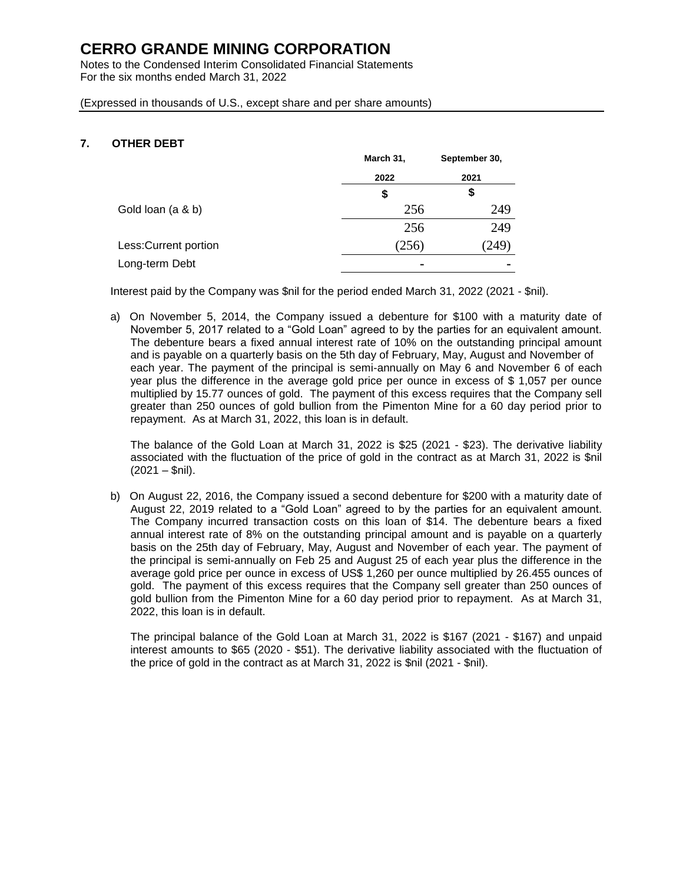Notes to the Condensed Interim Consolidated Financial Statements For the six months ended March 31, 2022

(Expressed in thousands of U.S., except share and per share amounts)

### **7. OTHER DEBT**

|                       | March 31, | September 30,  |
|-----------------------|-----------|----------------|
|                       | 2022      | 2021           |
|                       | \$        | \$             |
| Gold loan (a & b)     | 256       | 249            |
|                       | 256       | 249            |
| Less: Current portion | (256)     | (249)          |
| Long-term Debt        | ٠         | $\blacksquare$ |

Interest paid by the Company was \$nil for the period ended March 31, 2022 (2021 - \$nil).

a) On November 5, 2014, the Company issued a debenture for \$100 with a maturity date of November 5, 2017 related to a "Gold Loan" agreed to by the parties for an equivalent amount. The debenture bears a fixed annual interest rate of 10% on the outstanding principal amount and is payable on a quarterly basis on the 5th day of February, May, August and November of each year. The payment of the principal is semi-annually on May 6 and November 6 of each year plus the difference in the average gold price per ounce in excess of \$ 1,057 per ounce multiplied by 15.77 ounces of gold. The payment of this excess requires that the Company sell greater than 250 ounces of gold bullion from the Pimenton Mine for a 60 day period prior to repayment. As at March 31, 2022, this loan is in default.

The balance of the Gold Loan at March 31, 2022 is \$25 (2021 - \$23). The derivative liability associated with the fluctuation of the price of gold in the contract as at March 31, 2022 is \$nil  $(2021 - $nii)$ .

b) On August 22, 2016, the Company issued a second debenture for \$200 with a maturity date of August 22, 2019 related to a "Gold Loan" agreed to by the parties for an equivalent amount. The Company incurred transaction costs on this loan of \$14. The debenture bears a fixed annual interest rate of 8% on the outstanding principal amount and is payable on a quarterly basis on the 25th day of February, May, August and November of each year. The payment of the principal is semi-annually on Feb 25 and August 25 of each year plus the difference in the average gold price per ounce in excess of US\$ 1,260 per ounce multiplied by 26.455 ounces of gold. The payment of this excess requires that the Company sell greater than 250 ounces of gold bullion from the Pimenton Mine for a 60 day period prior to repayment. As at March 31, 2022, this loan is in default.

The principal balance of the Gold Loan at March 31, 2022 is \$167 (2021 - \$167) and unpaid interest amounts to \$65 (2020 - \$51). The derivative liability associated with the fluctuation of the price of gold in the contract as at March 31, 2022 is \$nil (2021 - \$nil).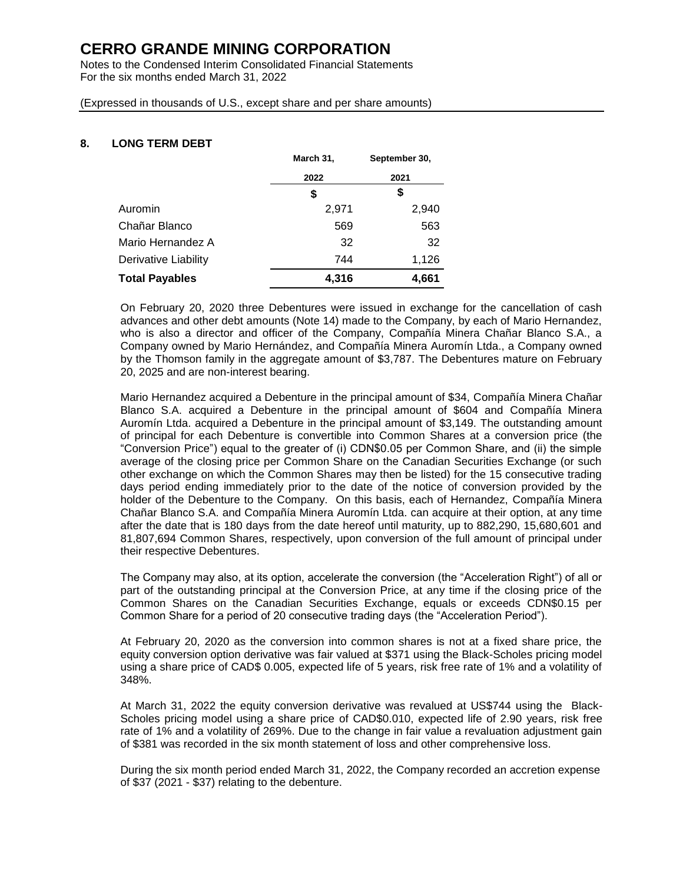Notes to the Condensed Interim Consolidated Financial Statements For the six months ended March 31, 2022

(Expressed in thousands of U.S., except share and per share amounts)

### **8. LONG TERM DEBT**

|                       | March 31, | September 30, |  |
|-----------------------|-----------|---------------|--|
|                       | 2022      | 2021          |  |
|                       | S         | \$            |  |
| Auromin               | 2,971     | 2,940         |  |
| Chañar Blanco         | 569       | 563           |  |
| Mario Hernandez A     | 32        | 32            |  |
| Derivative Liability  | 744       | 1,126         |  |
| <b>Total Payables</b> | 4,316     | 4,661         |  |

On February 20, 2020 three Debentures were issued in exchange for the cancellation of cash advances and other debt amounts (Note 14) made to the Company, by each of Mario Hernandez, who is also a director and officer of the Company, Compañía Minera Chañar Blanco S.A., a Company owned by Mario Hernández, and Compañía Minera Auromín Ltda., a Company owned by the Thomson family in the aggregate amount of \$3,787. The Debentures mature on February 20, 2025 and are non-interest bearing.

Mario Hernandez acquired a Debenture in the principal amount of \$34, Compañía Minera Chañar Blanco S.A. acquired a Debenture in the principal amount of \$604 and Compañía Minera Auromín Ltda. acquired a Debenture in the principal amount of \$3,149. The outstanding amount of principal for each Debenture is convertible into Common Shares at a conversion price (the "Conversion Price") equal to the greater of (i) CDN\$0.05 per Common Share, and (ii) the simple average of the closing price per Common Share on the Canadian Securities Exchange (or such other exchange on which the Common Shares may then be listed) for the 15 consecutive trading days period ending immediately prior to the date of the notice of conversion provided by the holder of the Debenture to the Company. On this basis, each of Hernandez, Compañía Minera Chañar Blanco S.A. and Compañía Minera Auromín Ltda. can acquire at their option, at any time after the date that is 180 days from the date hereof until maturity, up to 882,290, 15,680,601 and 81,807,694 Common Shares, respectively, upon conversion of the full amount of principal under their respective Debentures.

The Company may also, at its option, accelerate the conversion (the "Acceleration Right") of all or part of the outstanding principal at the Conversion Price, at any time if the closing price of the Common Shares on the Canadian Securities Exchange, equals or exceeds CDN\$0.15 per Common Share for a period of 20 consecutive trading days (the "Acceleration Period").

At February 20, 2020 as the conversion into common shares is not at a fixed share price, the equity conversion option derivative was fair valued at \$371 using the Black-Scholes pricing model using a share price of CAD\$ 0.005, expected life of 5 years, risk free rate of 1% and a volatility of 348%.

At March 31, 2022 the equity conversion derivative was revalued at US\$744 using the Black-Scholes pricing model using a share price of CAD\$0.010, expected life of 2.90 years, risk free rate of 1% and a volatility of 269%. Due to the change in fair value a revaluation adjustment gain of \$381 was recorded in the six month statement of loss and other comprehensive loss.

During the six month period ended March 31, 2022, the Company recorded an accretion expense of \$37 (2021 - \$37) relating to the debenture.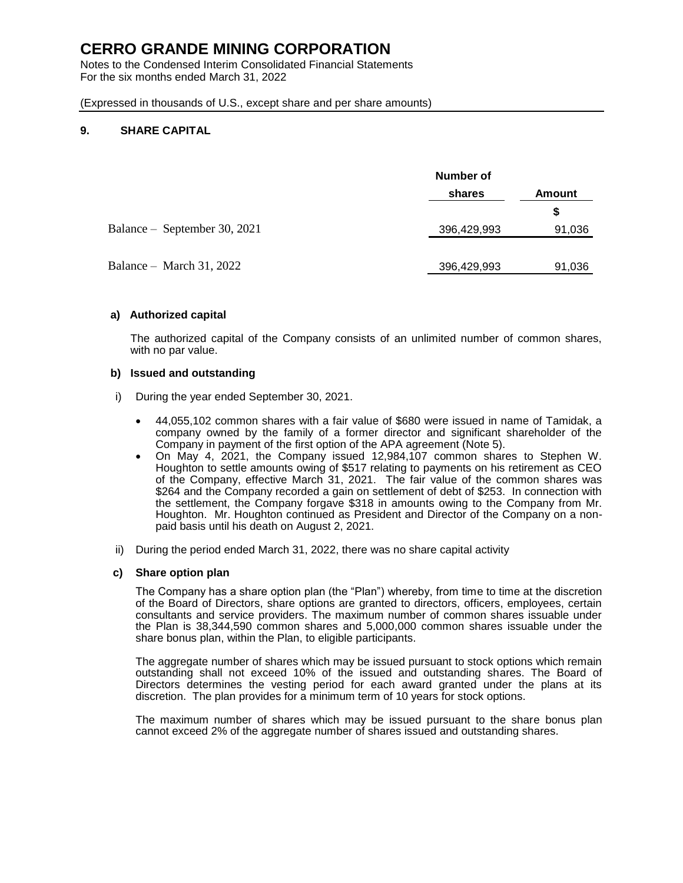Notes to the Condensed Interim Consolidated Financial Statements For the six months ended March 31, 2022

(Expressed in thousands of U.S., except share and per share amounts)

#### **9. SHARE CAPITAL**

|                              | Number of        |        |  |
|------------------------------|------------------|--------|--|
|                              | shares<br>Amount |        |  |
|                              |                  | S      |  |
| Balance – September 30, 2021 | 396,429,993      | 91,036 |  |
|                              |                  |        |  |
| Balance – March 31, 2022     | 396,429,993      | 91,036 |  |

#### **a) Authorized capital**

The authorized capital of the Company consists of an unlimited number of common shares, with no par value.

#### **b) Issued and outstanding**

- i) During the year ended September 30, 2021.
	- 44,055,102 common shares with a fair value of \$680 were issued in name of Tamidak, a company owned by the family of a former director and significant shareholder of the Company in payment of the first option of the APA agreement (Note 5).
	- On May 4, 2021, the Company issued 12,984,107 common shares to Stephen W. Houghton to settle amounts owing of \$517 relating to payments on his retirement as CEO of the Company, effective March 31, 2021. The fair value of the common shares was \$264 and the Company recorded a gain on settlement of debt of \$253. In connection with the settlement, the Company forgave \$318 in amounts owing to the Company from Mr. Houghton. Mr. Houghton continued as President and Director of the Company on a nonpaid basis until his death on August 2, 2021.
- ii) During the period ended March 31, 2022, there was no share capital activity

#### **c) Share option plan**

The Company has a share option plan (the "Plan") whereby, from time to time at the discretion of the Board of Directors, share options are granted to directors, officers, employees, certain consultants and service providers. The maximum number of common shares issuable under the Plan is 38,344,590 common shares and 5,000,000 common shares issuable under the share bonus plan, within the Plan, to eligible participants.

The aggregate number of shares which may be issued pursuant to stock options which remain outstanding shall not exceed 10% of the issued and outstanding shares. The Board of Directors determines the vesting period for each award granted under the plans at its discretion. The plan provides for a minimum term of 10 years for stock options.

The maximum number of shares which may be issued pursuant to the share bonus plan cannot exceed 2% of the aggregate number of shares issued and outstanding shares.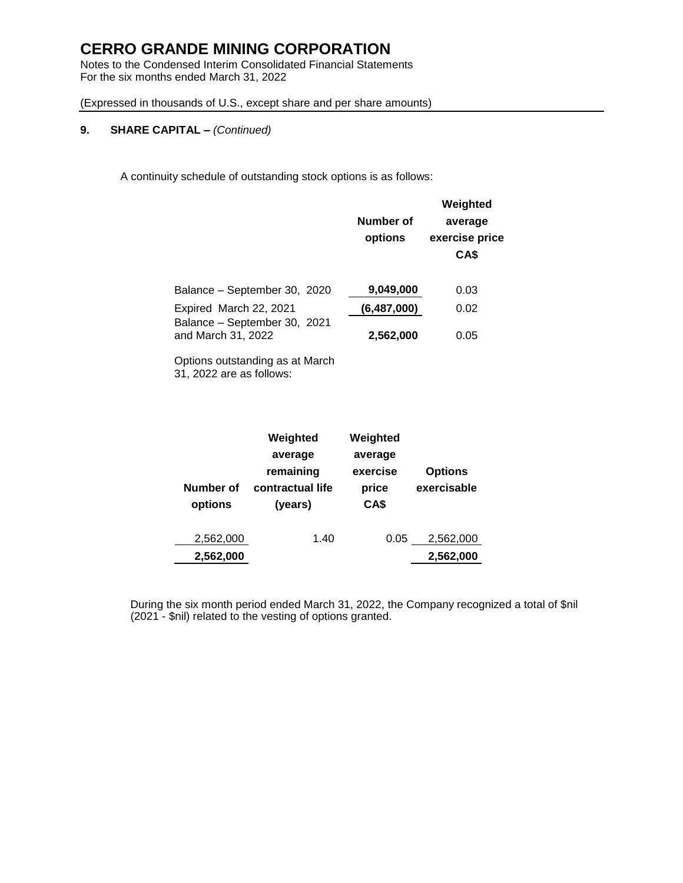Notes to the Condensed Interim Consolidated Financial Statements For the six months ended March 31, 2022

(Expressed in thousands of U.S., except share and per share amounts)

### **9. SHARE CAPITAL –** *(Continued)*

A continuity schedule of outstanding stock options is as follows:

|                                                    | Number of<br>options | Weighted<br>average<br>exercise price<br>CA\$ |
|----------------------------------------------------|----------------------|-----------------------------------------------|
| Balance - September 30, 2020                       | 9,049,000            | 0.03                                          |
| Expired March 22, 2021                             | (6,487,000)          | 0.02                                          |
| Balance - September 30, 2021<br>and March 31, 2022 | 2,562,000            | 0.05                                          |
|                                                    |                      |                                               |

Options outstanding as at March 31, 2022 are as follows:

| Number of<br>options | Weighted<br>average<br>remaining<br>contractual life<br>(years) | Weighted<br>average<br>exercise<br>price<br>CA\$ | <b>Options</b><br>exercisable |
|----------------------|-----------------------------------------------------------------|--------------------------------------------------|-------------------------------|
| 2,562,000            | 1.40                                                            | 0.05                                             | 2,562,000                     |
| 2,562,000            |                                                                 |                                                  | 2,562,000                     |

During the six month period ended March 31, 2022, the Company recognized a total of \$nil (2021 - \$nil) related to the vesting of options granted.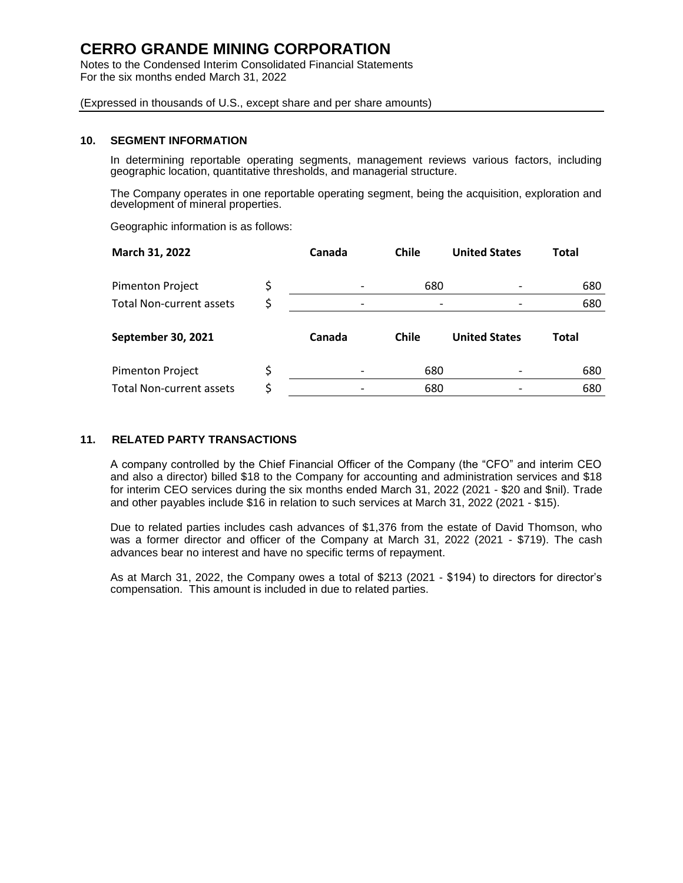Notes to the Condensed Interim Consolidated Financial Statements For the six months ended March 31, 2022

(Expressed in thousands of U.S., except share and per share amounts)

#### **10. SEGMENT INFORMATION**

In determining reportable operating segments, management reviews various factors, including geographic location, quantitative thresholds, and managerial structure.

The Company operates in one reportable operating segment, being the acquisition, exploration and development of mineral properties.

Geographic information is as follows:

| March 31, 2022                  | Canada | <b>Chile</b> | <b>United States</b> | <b>Total</b> |
|---------------------------------|--------|--------------|----------------------|--------------|
| <b>Pimenton Project</b>         |        | 680          |                      | 680          |
| <b>Total Non-current assets</b> |        |              |                      | 680          |
| <b>September 30, 2021</b>       | Canada | <b>Chile</b> | <b>United States</b> | Total        |
| <b>Pimenton Project</b>         | \$     | 680          |                      | 680          |
| <b>Total Non-current assets</b> | \$     |              |                      | 680          |

#### **11. RELATED PARTY TRANSACTIONS**

A company controlled by the Chief Financial Officer of the Company (the "CFO" and interim CEO and also a director) billed \$18 to the Company for accounting and administration services and \$18 for interim CEO services during the six months ended March 31, 2022 (2021 - \$20 and \$nil). Trade and other payables include \$16 in relation to such services at March 31, 2022 (2021 - \$15).

Due to related parties includes cash advances of \$1,376 from the estate of David Thomson, who was a former director and officer of the Company at March 31, 2022 (2021 - \$719). The cash advances bear no interest and have no specific terms of repayment.

As at March 31, 2022, the Company owes a total of \$213 (2021 - \$194) to directors for director's compensation. This amount is included in due to related parties.